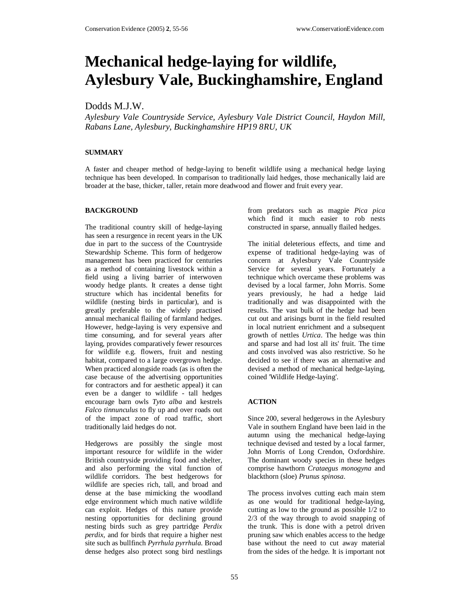# **Mechanical hedge-laying for wildlife, Aylesbury Vale, Buckinghamshire, England**

## Dodds M.J.W.

*Aylesbury Vale Countryside Service, Aylesbury Vale District Council, Haydon Mill, Rabans Lane, Aylesbury, Buckinghamshire HP19 8RU, UK* 

## **SUMMARY**

A faster and cheaper method of hedge-laying to benefit wildlife using a mechanical hedge laying technique has been developed. In comparison to traditionally laid hedges, those mechanically laid are broader at the base, thicker, taller, retain more deadwood and flower and fruit every year.

## **BACKGROUND**

The traditional country skill of hedge-laying has seen a resurgence in recent years in the UK due in part to the success of the Countryside Stewardship Scheme. This form of hedgerow management has been practiced for centuries as a method of containing livestock within a field using a living barrier of interwoven woody hedge plants. It creates a dense tight structure which has incidental benefits for wildlife (nesting birds in particular), and is greatly preferable to the widely practised annual mechanical flailing of farmland hedges. However, hedge-laying is very expensive and time consuming, and for several years after laying, provides comparatively fewer resources for wildlife e.g. flowers, fruit and nesting habitat, compared to a large overgrown hedge. When practiced alongside roads (as is often the case because of the advertising opportunities for contractors and for aesthetic appeal) it can even be a danger to wildlife - tall hedges encourage barn owls *Tyto alba* and kestrels *Falco tinnunculus* to fly up and over roads out of the impact zone of road traffic, short traditionally laid hedges do not.

Hedgerows are possibly the single most important resource for wildlife in the wider British countryside providing food and shelter, and also performing the vital function of wildlife corridors. The best hedgerows for wildlife are species rich, tall, and broad and dense at the base mimicking the woodland edge environment which much native wildlife can exploit. Hedges of this nature provide nesting opportunities for declining ground nesting birds such as grey partridge *Perdix perdix*, and for birds that require a higher nest site such as bullfinch *Pyrrhula pyrrhula*. Broad dense hedges also protect song bird nestlings

from predators such as magpie *Pica pica* which find it much easier to rob nests constructed in sparse, annually flailed hedges.

The initial deleterious effects, and time and expense of traditional hedge-laying was of concern at Aylesbury Vale Countryside Service for several years. Fortunately a technique which overcame these problems was devised by a local farmer, John Morris. Some years previously, he had a hedge laid traditionally and was disappointed with the results. The vast bulk of the hedge had been cut out and arisings burnt in the field resulted in local nutrient enrichment and a subsequent growth of nettles *Urtica*. The hedge was thin and sparse and had lost all its' fruit. The time and costs involved was also restrictive. So he decided to see if there was an alternative and devised a method of mechanical hedge-laying, coined 'Wildlife Hedge-laying'.

## **ACTION**

Since 200, several hedgerows in the Aylesbury Vale in southern England have been laid in the autumn using the mechanical hedge-laying technique devised and tested by a local farmer, John Morris of Long Crendon, Oxfordshire. The dominant woody species in these hedges comprise hawthorn *Crataegus monogyna* and blackthorn (sloe) *Prunus spinosa*.

The process involves cutting each main stem as one would for traditional hedge-laying, cutting as low to the ground as possible 1/2 to 2/3 of the way through to avoid snapping of the trunk. This is done with a petrol driven pruning saw which enables access to the hedge base without the need to cut away material from the sides of the hedge. It is important not